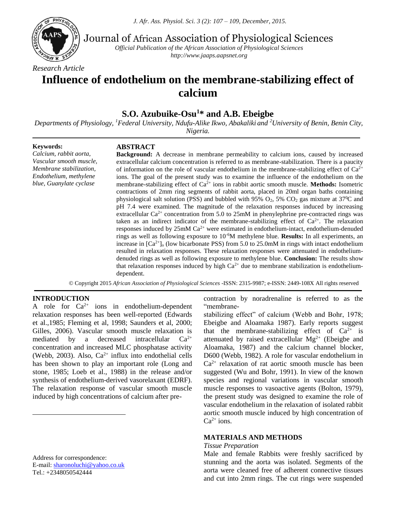

Journal of African Association of Physiological Sciences

*Official Publication of the African Association of Physiological Sciences http://www.jaaps.aapsnet.org*

# **Influence of endothelium on the membrane-stabilizing effect of calcium**

## **S.O. Azubuike-Osu<sup>1</sup>\* and A.B. Ebeigbe**

*Departments of Physiology, <sup>1</sup>Federal University, Ndufu-Alike Ikwo, Abakaliki and <sup>2</sup>University of Benin, Benin City, Nigeria.*

**Keywords:**

#### **ABSTRACT**

*Calcium, rabbit aorta, Vascular smooth muscle, Membrane stabilization, Endothelium, methylene blue, Guanylate cyclase*

**Background:** A decrease in membrane permeability to calcium ions, caused by increased extracellular calcium concentration is referred to as membrane-stabilization. There is a paucity of information on the role of vascular endothelium in the membrane-stabilizing effect of  $Ca^{2+}$ ions. The goal of the present study was to examine the influence of the endothelium on the membrane-stabilizing effect of Ca2+ ions in rabbit aortic smooth muscle. **Methods:** Isometric contractions of 2mm ring segments of rabbit aorta, placed in 20ml organ baths containing physiological salt solution (PSS) and bubbled with 95%  $O_2$ , 5%  $CO_2$  gas mixture at 37<sup>0</sup>C and pH 7.4 were examined. The magnitude of the relaxation responses induced by increasing extracellular  $Ca^{2+}$  concentration from 5.0 to 25mM in phenylephrine pre-contracted rings was taken as an indirect indicator of the membrane-stabilizing effect of  $Ca^{2+}$ . The relaxation responses induced by  $25 \text{m} \text{M } Ca^{2+}$  were estimated in endothelium-intact, endothelium-denuded rings as well as following exposure to 10-6M methylene blue. **Results:** In all experiments, an increase in  $[Ca^{2+}]_0$  (low bicarbonate PSS) from 5.0 to 25.0mM in rings with intact endothelium resulted in relaxation responses. These relaxation responses were attenuated in endotheliumdenuded rings as well as following exposure to methylene blue. **Conclusion:** The results show that relaxation responses induced by high  $Ca^{2+}$  due to membrane stabilization is endotheliumdependent.

© Copyright 2015 *African Association of Physiological Sciences* -ISSN: 2315-9987; e-ISSN: 2449-108X All rights reserved

#### **INTRODUCTION<sup>1</sup>**

 $\overline{a}$ 

A role for  $Ca^{2+}$  ions in endothelium-dependent relaxation responses has been well-reported (Edwards et al.,1985; Fleming et al, 1998; Saunders et al, 2000; Gilles, 2006). Vascular smooth muscle relaxation is mediated by a decreased intracellular  $Ca^{2+}$ concentration and increased MLC phosphatase activity (Webb, 2003). Also,  $Ca^{2+}$  influx into endothelial cells has been shown to play an important role (Long and stone, 1985; Loeb et al., 1988) in the release and/or synthesis of endothelium-derived vasorelaxant (EDRF). The relaxation response of vascular smooth muscle induced by high concentrations of calcium after pre-

Address for correspondence: E-mail: [sharonoluchi@yahoo.co.uk](mailto:sharonoluchi@yahoo.co.uk) Tel.: +2348050542444

contraction by noradrenaline is referred to as the "membrane-

stabilizing effect" of calcium (Webb and Bohr, 1978; Ebeigbe and Aloamaka 1987). Early reports suggest that the membrane-stabilizing effect of  $Ca^{2+}$  is attenuated by raised extracellular  $Mg^{2+}$  (Ebeigbe and Aloamaka, 1987) and the calcium channel blocker, D600 (Webb, 1982). A role for vascular endothelium in  $Ca<sup>2+</sup>$  relaxation of rat aortic smooth muscle has been suggested (Wu and Bohr, 1991). In view of the known species and regional variations in vascular smooth muscle responses to vasoactive agents (Bolton, 1979), the present study was designed to examine the role of vascular endothelium in the relaxation of isolated rabbit aortic smooth muscle induced by high concentration of  $Ca^{2+}$  ions.

#### **MATERIALS AND METHODS**

#### *Tissue Preparation*

Male and female Rabbits were freshly sacrificed by stunning and the aorta was isolated. Segments of the aorta were cleaned free of adherent connective tissues and cut into 2mm rings. The cut rings were suspended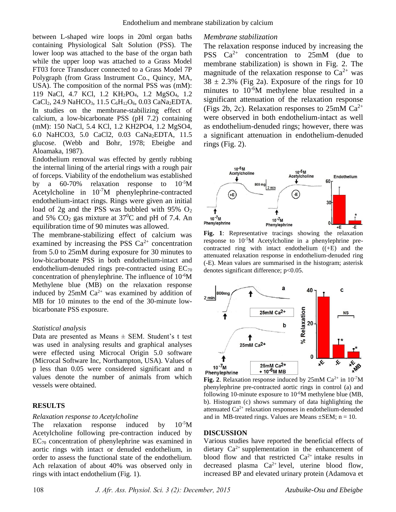between L-shaped wire loops in 20ml organ baths containing Physiological Salt Solution (PSS). The lower loop was attached to the base of the organ bath while the upper loop was attached to a Grass Model FT03 force Transducer connected to a Grass Model 7P Polygraph (from Grass Instrument Co., Quincy, MA, USA). The composition of the normal PSS was (mM): 119 NaCl, 4.7 KCl, 1.2 KH<sub>2</sub>PO<sub>4</sub>, 1.2 MgSO<sub>4</sub>, 1.2 CaCl<sub>2</sub>, 24.9 NaHCO<sub>3</sub>, 11.5 C<sub>6</sub>H<sub>12</sub>O<sub>6</sub>, 0.03 CaNa<sub>2</sub>EDTA. In studies on the membrane-stabilizing effect of calcium, a low-bicarbonate PSS (pH 7.2) containing (mM): 150 NaCl, 5.4 KCl, 1.2 KH2PO4, 1.2 MgSO4, 6.0 NaHCO3, 5.0 CaCl2, 0.03 CaNa2EDTA, 11.5 glucose. (Webb and Bohr, 1978; Ebeigbe and Aloamaka, 1987).

Endothelium removal was effected by gently rubbing the internal lining of the arterial rings with a rough pair of forceps. Viability of the endothelium was established by a 60-70% relaxation response to 10-5M Acetylcholine in  $10^{-7}M$  phenylephrine-contracted endothelium-intact rings. Rings were given an initial load of 2g and the PSS was bubbled with  $95\%$  O<sub>2</sub> and 5%  $CO<sub>2</sub>$  gas mixture at 37<sup>0</sup>C and pH of 7.4. An equilibration time of 90 minutes was allowed.

The membrane-stabilizing effect of calcium was examined by increasing the PSS  $Ca^{2+}$  concentration from 5.0 to 25mM during exposure for 30 minutes to low-bicarbonate PSS in both endothelium-intact and endothelium-denuded rings pre-contracted using  $EC_{70}$ concentration of phenylephrine. The influence of 10-6M Methylene blue (MB) on the relaxation response induced by  $25 \text{m} \text{M } Ca^{2+}$  was examined by addition of MB for 10 minutes to the end of the 30-minute lowbicarbonate PSS exposure.

#### *Statistical analysis*

Data are presented as Means  $\pm$  SEM. Student's t test was used in analysing results and graphical analyses were effected using Microcal Origin 5.0 software (Microcal Software Inc, Northampton, USA). Values of p less than 0.05 were considered significant and n values denote the number of animals from which vessels were obtained.

### **RESULTS**

## *Relaxation response to Acetylcholine*

The relaxation response induced by  $10^{-5}M$ Acetylcholine following pre-contraction induced by  $EC_{70}$  concentration of phenylephrine was examined in aortic rings with intact or denuded endothelium, in order to assess the functional state of the endothelium. Ach relaxation of about 40% was observed only in rings with intact endothelium (Fig. 1).

## *Membrane stabilization*

The relaxation response induced by increasing the PSS  $Ca^{2+}$  concentration to 25mM (due to membrane stabilization) is shown in Fig. 2. The magnitude of the relaxation response to  $Ca^{2+}$  was  $38 \pm 2.3\%$  (Fig 2a). Exposure of the rings for 10 minutes to  $10^{-6}M$  methylene blue resulted in a significant attenuation of the relaxation response (Figs 2b, 2c). Relaxation responses to  $25 \text{mM}$  Ca<sup>2+</sup> were observed in both endothelium-intact as well as endothelium-denuded rings; however, there was a significant attenuation in endothelium-denuded rings (Fig. 2).



**Fig. 1**: Representative tracings showing the relaxation response to  $10^{-5}M$  Acetylcholine in a phenylephrine precontracted ring with intact endothelium ((+E) and the attenuated relaxation response in endothelium-denuded ring (-E). Mean values are summarised in the histogram; asterisk denotes significant difference; p<0.05.



**Fig. 2**. Relaxation response induced by  $25 \text{m} \text{M}$  Ca<sup>2+</sup> in  $10^{-7} \text{M}$ phenylephrine pre-contracted aortic rings in control (a) and following 10-minute exposure to 10-6M methylene blue (MB, b). Histogram (c) shows summary of data highlighting the attenuated  $Ca^{2+}$  relaxation responses in endothelium-denuded and in MB-treated rings. Values are Means  $\pm$ SEM; n = 10.

## **DISCUSSION**

Various studies have reported the beneficial effects of dietary  $Ca^{2+}$  supplementation in the enhancement of blood flow and that restricted  $Ca^{2+}$  intake results in decreased plasma  $Ca^{2+}$  level, uterine blood flow, increased BP and elevated urinary protein (Adamova et